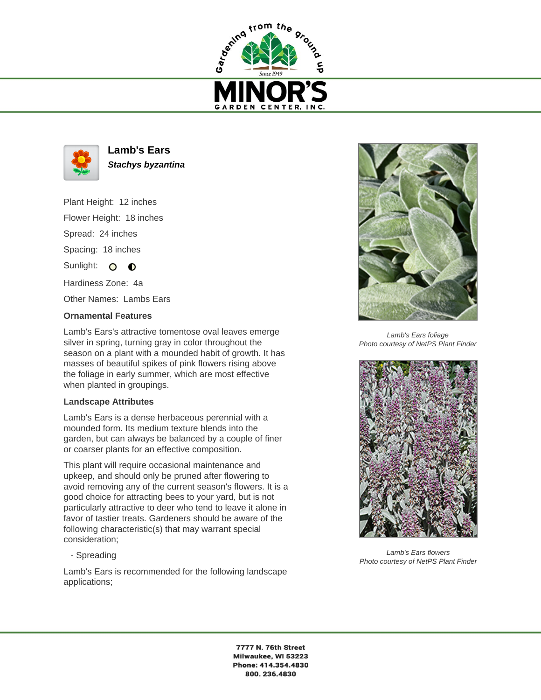



**Lamb's Ears Stachys byzantina**

Plant Height: 12 inches Flower Height: 18 inches Spread: 24 inches Spacing: 18 inches Sunlight: O O Hardiness Zone: 4a

Other Names: Lambs Ears

## **Ornamental Features**

Lamb's Ears's attractive tomentose oval leaves emerge silver in spring, turning gray in color throughout the season on a plant with a mounded habit of growth. It has masses of beautiful spikes of pink flowers rising above the foliage in early summer, which are most effective when planted in groupings.

## **Landscape Attributes**

Lamb's Ears is a dense herbaceous perennial with a mounded form. Its medium texture blends into the garden, but can always be balanced by a couple of finer or coarser plants for an effective composition.

This plant will require occasional maintenance and upkeep, and should only be pruned after flowering to avoid removing any of the current season's flowers. It is a good choice for attracting bees to your yard, but is not particularly attractive to deer who tend to leave it alone in favor of tastier treats. Gardeners should be aware of the following characteristic(s) that may warrant special consideration;

- Spreading

Lamb's Ears is recommended for the following landscape applications;



Lamb's Ears foliage Photo courtesy of NetPS Plant Finder



Lamb's Ears flowers Photo courtesy of NetPS Plant Finder

7777 N. 76th Street Milwaukee, WI 53223 Phone: 414.354.4830 800.236.4830